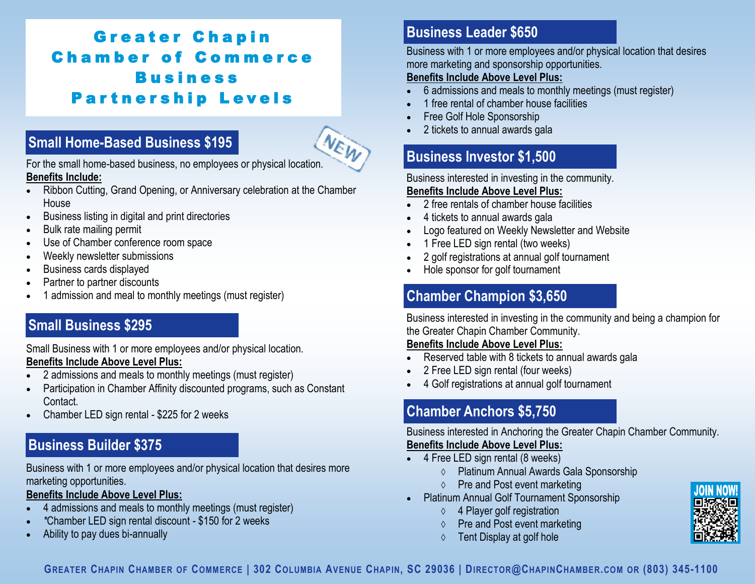# Greater Chapin **Chamber of Commerce Business Partnership Levels**

# Small Home-Based Business \$195<br>For the small home-based business, no employees or physical location. **Small Home-Based Business \$195**



**Benefits Include:** 

- Ribbon Cutting, Grand Opening, or Anniversary celebration at the Chamber House
- Business listing in digital and print directories
- Bulk rate mailing permit
- Use of Chamber conference room space
- Weekly newsletter submissions
- Business cards displayed
- Partner to partner discounts
- 1 admission and meal to monthly meetings (must register)

#### **Small Business \$295 Small Business \$295**

Small Business with 1 or more employees and/or physical location. **Benefits Include Above Level Plus:** 

- 2 admissions and meals to monthly meetings (must register)
- Participation in Chamber Affinity discounted programs, such as Constant Contact.
- Chamber LED sign rental \$225 for 2 weeks

## **Business Builder \$375**

Business with 1 or more employees and/or physical location that desires more marketing opportunities.

#### **Benefits Include Above Level Plus:**

- 4 admissions and meals to monthly meetings (must register)
- *\**Chamber LED sign rental discount \$150 for 2 weeks
- Ability to pay dues bi-annually

## **Business Leader \$650**

Business with 1 or more employees and/or physical location that desires more marketing and sponsorship opportunities.

#### **Benefits Include Above Level Plus:**

- 6 admissions and meals to monthly meetings (must register)
- 1 free rental of chamber house facilities
- Free Golf Hole Sponsorship
- 2 tickets to annual awards gala

## **Business Investor \$1,500**

Business interested in investing in the community.

#### **Benefits Include Above Level Plus:**

- 2 free rentals of chamber house facilities
- 4 tickets to annual awards gala
- Logo featured on Weekly Newsletter and Website
- 1 Free LED sign rental (two weeks)
- 2 golf registrations at annual golf tournament
- Hole sponsor for golf tournament

## **Chamber Champion \$3,650**

Business interested in investing in the community and being a champion for the Greater Chapin Chamber Community.

#### **Benefits Include Above Level Plus:**

- Reserved table with 8 tickets to annual awards gala
- 2 Free LED sign rental (four weeks)
- 4 Golf registrations at annual golf tournament

## **Chamber Anchors \$5,750**

Business interested in Anchoring the Greater Chapin Chamber Community. **Benefits Include Above Level Plus:**

- 4 Free LED sign rental (8 weeks)
	- Platinum Annual Awards Gala Sponsorship
	- Pre and Post event marketing
- Platinum Annual Golf Tournament Sponsorship
	- $\Diamond$  4 Player golf registration
	- Pre and Post event marketing
	- $\Diamond$  Tent Display at golf hole



GREATER CHAPIN CHAMBER OF COMMERCE | 302 COLUMBIA AVENUE CHAPIN, SC 29036 | D[IRECTOR](mailto:Director@ChapinChamber.com)@CHAPINCHAMBER.COM OR (803) 345-1100